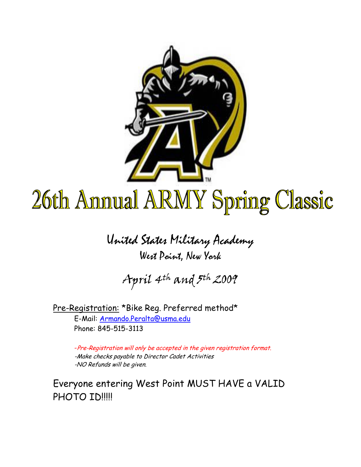

United States Military Academy West Point, New York

April 4<sup>th</sup> and <sup>5th</sup> 2009

Pre-Registration: \*Bike Reg. Preferred method\* E-Mail: [Armando.Peralta@usma.edu](mailto:Armando.Peralta@usma.edu) Phone: 845-515-3113

> -Pre-Registration will only be accepted in the given registration format. -Make checks payable to Director Cadet Activities -NO Refunds will be given.

Everyone entering West Point MUST HAVE a VALID PHOTO ID!!!!!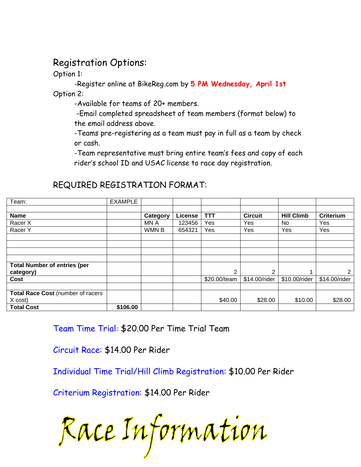### Registration Options:

Option 1:

-Register online at BikeReg.com by **5 PM Wednesday, April 1st** Option 2:

-Available for teams of 20+ members.

-Email completed spreadsheet of team members (format below) to the email address above.

-Teams pre-registering as a team must pay in full as a team by check or cash.

-Team representative must bring entire team's fees and copy of each rider's school ID and USAC license to race day registration.

| Team:                                     | <b>EXAMPLE</b> |          |         |              |                |                   |                |
|-------------------------------------------|----------------|----------|---------|--------------|----------------|-------------------|----------------|
|                                           |                |          |         |              |                |                   |                |
| <b>Name</b>                               |                | Category | License | TTT          | <b>Circuit</b> | <b>Hill Climb</b> | Criterium      |
| Racer X                                   |                | MN A     | 123456  | Yes          | Yes            | No.               | Yes            |
| Racer Y                                   |                | WMN B    | 654321  | Yes          | Yes            | Yes               | Yes            |
|                                           |                |          |         |              |                |                   |                |
|                                           |                |          |         |              |                |                   |                |
|                                           |                |          |         |              |                |                   |                |
|                                           |                |          |         |              |                |                   |                |
| <b>Total Number of entries (per</b>       |                |          |         |              |                |                   |                |
| category)                                 |                |          |         | 2            | 2              |                   | $\overline{2}$ |
| Cost                                      |                |          |         | \$20.00/team | \$14.00/rider  | \$10.00/rider     | \$14.00/rider  |
|                                           |                |          |         |              |                |                   |                |
| <b>Total Race Cost (number of racers)</b> |                |          |         |              |                |                   |                |
| X cost)                                   |                |          |         | \$40.00      | \$28.00        | \$10.00           | \$28.00        |
| <b>Total Cost</b>                         | \$106.00       |          |         |              |                |                   |                |

#### REQUIRED REGISTRATION FORMAT:

Team Time Trial: \$20.00 Per Time Trial Team

Circuit Race: \$14.00 Per Rider

Individual Time Trial/Hill Climb Registration: \$10.00 Per Rider

Criterium Registration: \$14.00 Per Rider

Race Information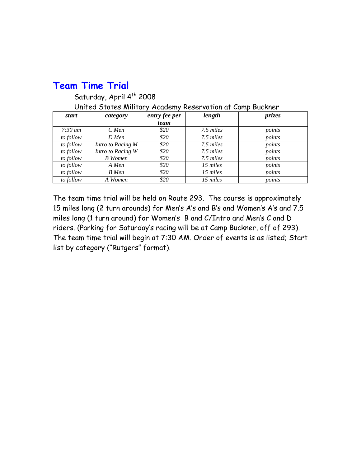## **Team Time Trial**

#### Saturday, April 4<sup>th</sup> 2008

|  |  | United States Military Academy Reservation at Camp Buckner |  |
|--|--|------------------------------------------------------------|--|
|  |  |                                                            |  |

| <i>start</i>       | category          | entry fee per | length    | prizes |  |
|--------------------|-------------------|---------------|-----------|--------|--|
|                    |                   | team          |           |        |  |
| $7:30 \text{ }$ am | $C$ Men           | \$20          | 7.5 miles | points |  |
| to follow          | D Men             | \$20          | 7.5 miles | points |  |
| to follow          | Intro to Racing M | \$20          | 7.5 miles | points |  |
| to follow          | Intro to Racing W | \$20          | 7.5 miles | points |  |
| to follow          | <b>B</b> Women    | \$20          | 7.5 miles | points |  |
| to follow          | A Men             | \$20          | 15 miles  | points |  |
| to follow          | B Men             | \$20          | 15 miles  | points |  |
| to follow          | A Women           | \$20          | 15 miles  | points |  |

The team time trial will be held on Route 293. The course is approximately 15 miles long (2 turn arounds) for Men's A's and B's and Women's A's and 7.5 miles long (1 turn around) for Women's B and C/Intro and Men's C and D riders. (Parking for Saturday's racing will be at Camp Buckner, off of 293). The team time trial will begin at 7:30 AM. Order of events is as listed; Start list by category ("Rutgers" format).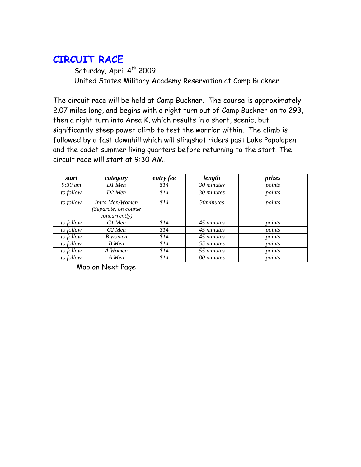### **CIRCUIT RACE**

Saturday, April 4<sup>th</sup> 2009 United States Military Academy Reservation at Camp Buckner

The circuit race will be held at Camp Buckner. The course is approximately 2.07 miles long, and begins with a right turn out of Camp Buckner on to 293, then a right turn into Area K, which results in a short, scenic, but significantly steep power climb to test the warrior within. The climb is followed by a fast downhill which will slingshot riders past Lake Popolopen and the cadet summer living quarters before returning to the start. The circuit race will start at 9:30 AM.

| start              | category              | entry fee | length            | prizes |
|--------------------|-----------------------|-----------|-------------------|--------|
| $9:30 \text{ }$ am | D1 Men                | \$14      | 30 minutes        | points |
| to follow          | D2 Men                | \$14      | 30 minutes        | points |
| to follow          | Intro Men/Women       | \$14      | 30 <i>minutes</i> | points |
|                    | (Separate, on course  |           |                   |        |
|                    | <i>concurrently</i> ) |           |                   |        |
| to follow          | C1 Men                | \$14      | 45 minutes        | points |
| to follow          | C <sub>2</sub> Men    | \$14      | 45 minutes        | points |
| to follow          | <b>B</b> women        | \$14      | 45 minutes        | points |
| to follow          | B Men                 | \$14      | 55 minutes        | points |
| to follow          | A Women               | \$14      | 55 minutes        | points |
| to follow          | A Men                 | \$14      | 80 minutes        | points |

Map on Next Page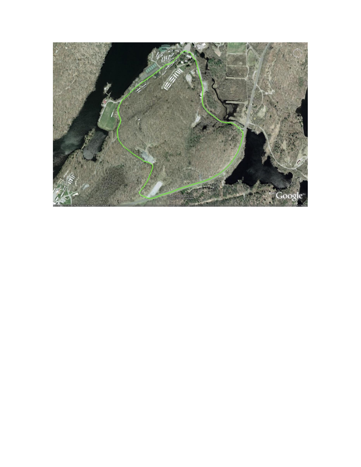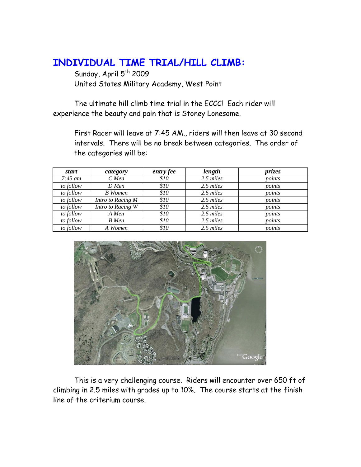## **INDIVIDUAL TIME TRIAL/HILL CLIMB:**

Sunday, April 5<sup>th</sup> 2009 United States Military Academy, West Point

The ultimate hill climb time trial in the ECCC! Each rider will experience the beauty and pain that is Stoney Lonesome.

First Racer will leave at 7:45 AM., riders will then leave at 30 second intervals. There will be no break between categories. The order of the categories will be:

| start     | category          | entry fee | length    | prizes |
|-----------|-------------------|-----------|-----------|--------|
| $7:45$ am | $C$ Men           | \$10      | 2.5 miles | points |
| to follow | D Men             | \$10      | 2.5 miles | points |
| to follow | <b>B</b> Women    | \$10      | 2.5 miles | points |
| to follow | Intro to Racing M | \$10      | 2.5 miles | points |
| to follow | Intro to Racing W | \$10      | 2.5 miles | points |
| to follow | A Men             | \$10      | 2.5 miles | points |
| to follow | <b>B</b> Men      | \$10      | 2.5 miles | points |
| to follow | A Women           | \$10      | 2.5 miles | points |



This is a very challenging course. Riders will encounter over 650 ft of climbing in 2.5 miles with grades up to 10%. The course starts at the finish line of the criterium course.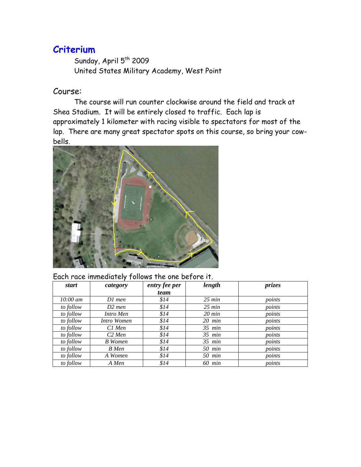### **Criterium**

Sunday, April 5<sup>th</sup> 2009 United States Military Academy, West Point

Course:

The course will run counter clockwise around the field and track at Shea Stadium. It will be entirely closed to traffic. Each lap is approximately 1 kilometer with racing visible to spectators for most of the lap. There are many great spectator spots on this course, so bring your cowbells.



| Each race immediately follows the one before it. |  |  |
|--------------------------------------------------|--|--|
|--------------------------------------------------|--|--|

| start               | category           | entry fee per | length           | prizes |
|---------------------|--------------------|---------------|------------------|--------|
|                     |                    | team          |                  |        |
| $10:00 \text{ } am$ | D1 men             | \$14          | $25 \, min$      | points |
| to follow           | $D2$ men           | \$14          | $25 \, min$      | points |
| to follow           | Intro Men          | \$14          | $20 \text{ min}$ | points |
| to follow           | Intro Women        | \$14          | $20$ min         | points |
| to follow           | C1 Men             | \$14          | $35$ min         | points |
| to follow           | C <sub>2</sub> Men | \$14          | $35$ min         | points |
| to follow           | <b>B</b> Women     | \$14          | $35$ min         | points |
| to follow           | B Men              | \$14          | 50 min           | points |
| to follow           | A Women            | \$14          | 50 min           | points |
| to follow           | A Men              | \$14          | 60 min           | points |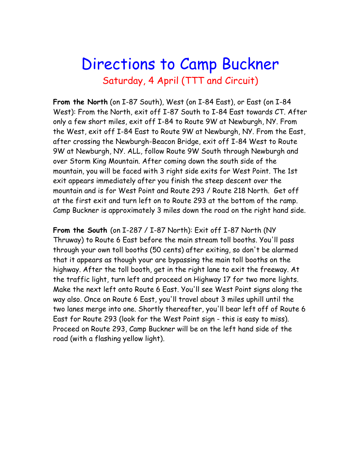## Directions to Camp Buckner Saturday, 4 April (TTT and Circuit)

**From the North** (on I-87 South), West (on I-84 East), or East (on I-84 West): From the North, exit off I-87 South to I-84 East towards CT. After only a few short miles, exit off I-84 to Route 9W at Newburgh, NY. From the West, exit off I-84 East to Route 9W at Newburgh, NY. From the East, after crossing the Newburgh-Beacon Bridge, exit off I-84 West to Route 9W at Newburgh, NY. ALL, follow Route 9W South through Newburgh and over Storm King Mountain. After coming down the south side of the mountain, you will be faced with 3 right side exits for West Point. The 1st exit appears immediately after you finish the steep descent over the mountain and is for West Point and Route 293 / Route 218 North. Get off at the first exit and turn left on to Route 293 at the bottom of the ramp. Camp Buckner is approximately 3 miles down the road on the right hand side.

**From the South** (on I-287 / I-87 North): Exit off I-87 North (NY Thruway) to Route 6 East before the main stream toll booths. You'll pass through your own toll booths (50 cents) after exiting, so don't be alarmed that it appears as though your are bypassing the main toll booths on the highway. After the toll booth, get in the right lane to exit the freeway. At the traffic light, turn left and proceed on Highway 17 for two more lights. Make the next left onto Route 6 East. You'll see West Point signs along the way also. Once on Route 6 East, you'll travel about 3 miles uphill until the two lanes merge into one. Shortly thereafter, you'll bear left off of Route 6 East for Route 293 (look for the West Point sign - this is easy to miss). Proceed on Route 293, Camp Buckner will be on the left hand side of the road (with a flashing yellow light).